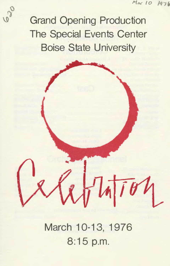Grand Opening Production The Special Events Center Boise State University

> March 10-13, 1976 8:15 p.m.

 $741704$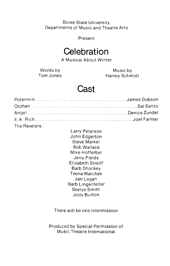### Boise State University Departments of Music and Theatre Arts

Present

### **Celebration**

A Musical About Winter

Words by Tom Jones

Music by Harvey Schmidt

### **Cast**

|  | Potemkin James Dobson |
|--|-----------------------|
|  |                       |
|  |                       |
|  |                       |
|  |                       |

The Revelers:

Larry Peterson John Edgerton Steve Marker Bob Wallace Mike Hofferber Jerry Fields Elizabeth Streiff Barb Shockey Teena Marchek Jan Logan Barb Lingenfelter Seelye Smith Jody Burton

There will be one intermission

Produced by Special Permission of Music Theatre International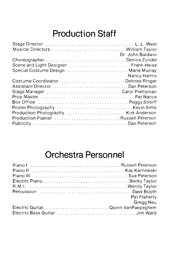# **Production Staff**

|                                                                                            | Dr. John Baldwin |
|--------------------------------------------------------------------------------------------|------------------|
|                                                                                            |                  |
|                                                                                            |                  |
| Special Costume Design Marie Murray                                                        |                  |
|                                                                                            | Nancy Harms      |
|                                                                                            |                  |
|                                                                                            |                  |
| Stage Manager (conservation of the conservation of the conservation of the Carol Prettyman |                  |
|                                                                                            |                  |
|                                                                                            |                  |
|                                                                                            |                  |
| Production Photography Kirk Anderson                                                       |                  |
| Production Pianist Russell Peterson                                                        |                  |
|                                                                                            |                  |
|                                                                                            |                  |

## **Orchestra Personnel**

| Electric Piano Becky Taylor       |                         |
|-----------------------------------|-------------------------|
|                                   |                         |
| Percussion Dave Booth             |                         |
|                                   | Pat Flaherty            |
|                                   | <b>Called</b> Greag Neu |
| Electric GuitarQuinn VanPaepeghem |                         |
|                                   |                         |
|                                   |                         |